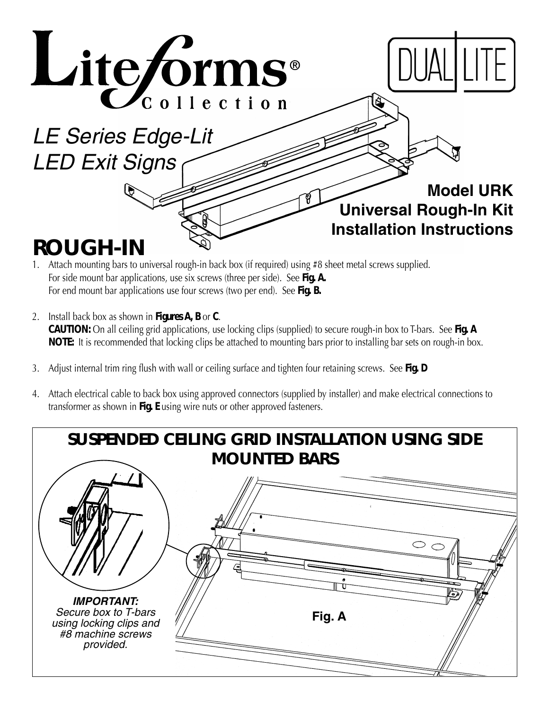

- 1. Attach mounting bars to universal rough-in back box (if required) using #8 sheet metal screws supplied. For side mount bar applications, use six screws (three per side). See **Fig. A.**
- For end mount bar applications use four screws (two per end). See **Fig. B.**
- 2. Install back box as shown in **Figures A, B** or **C**. *CAUTION:* On all ceiling grid applications, use locking clips (supplied) to secure rough-in box to T-bars. See **Fig. A NOTE:** It is recommended that locking clips be attached to mounting bars prior to installing bar sets on rough-in box.
- 3. Adjust internal trim ring flush with wall or ceiling surface and tighten four retaining screws. See **Fig. D**
- 4. Attach electrical cable to back box using approved connectors (supplied by installer) and make electrical connections to transformer as shown in **Fig. E** using wire nuts or other approved fasteners.